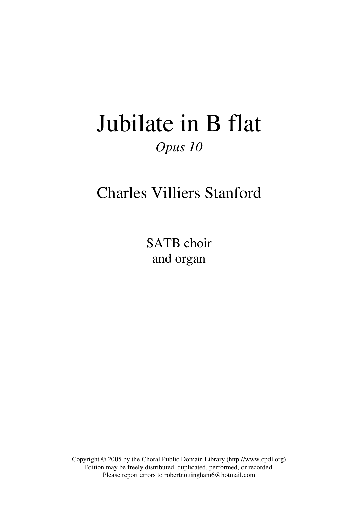## Jubilate in B flat *Opus 10*

## Charles Villiers Stanford

SATB choir and organ

Copyright © 2005 by the Choral Public Domain Library (http://www.cpdl.org) Edition may be freely distributed, duplicated, performed, or recorded. Please report errors to robertnottingham6@hotmail.com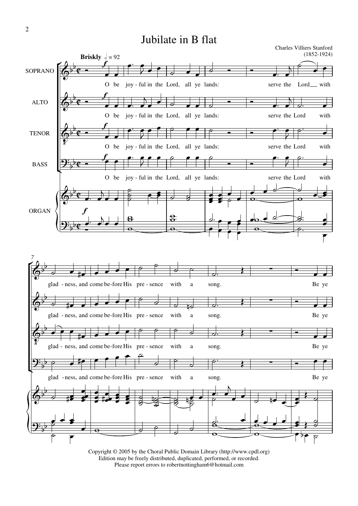## Jubilate in B flat

 $\overline{\mathfrak{c}}$  $\overline{\mathfrak{e}}$  $\overline{\mathfrak{e}}$  $\overline{\mathfrak{c}}$  $\overline{\mathfrak{e}}$  $\overline{\mathfrak{c}}$ **Briskly**  $\sqrt{ } = 92$ Charles Villiers Stanford  $\mathbf{J} = 92$  (1852-1924) SOPRANO ALTO **TENOR** BASS ORGAN ŕ l  $\overline{\mathbb{G}^{\flat}}$  $\mathbf{b}$ -O be joy - ful in the Lord, all ye lands: f  $\overline{\phantom{a}}$  $\overline{\phantom{a}}$  $\cdot$  $\mathbf{f}$  $\overline{\phantom{a}}$  $\overline{\bullet}$  $\overline{\phantom{a}}$  $\overline{\phantom{a}}$  $\overline{\phantom{a}}$  $\circ$  - serve the Lord<sub>—</sub> with  $\overline{\phantom{a}}$ .  $\overline{\phantom{a}}$  $\overline{\phantom{0}}$  $\acute{\phi}$  $\overline{\bullet}$  $\overline{\bullet}$  $\overline{\mathbb{G}^{\flat}}$  $\mathbf{b}$ -O be f  $\overline{\phantom{a}}$  $\overline{\phantom{a}}$ joy - ful in the Lord,  $\overline{\phantom{a}}$  $\overline{\phantom{a}}$  $\overline{\phantom{0}}$  $\overline{\phantom{a}}$  $\overline{\bullet}$  $\overline{d}$ all ye lands:  $\overline{\phantom{a}}$  $\overline{\phantom{a}}$  $\overline{d}$  $$ serve the Lord  $\overline{\phantom{a}}$ .  $\overline{\phantom{a}}$  $\overline{\phantom{0}}$  $\overline{\phantom{a}}$ with  $\overline{\phantom{a}}$  $\Phi$  $\check{\varepsilon}$  $\frac{1}{2}$  $\mathbf{b}$ -O be f  $\overline{\phantom{a}}$  $\overline{\phantom{a}}$ joy - ful in the Lord,  $\bullet$ :  $\overline{\mathbf{S}}$ ₹  $\overline{\phantom{0}}$  $\bullet$ p all ye lands:  $\bullet$  $\bullet$  $\circ$  . . serve the Lord  $\overline{\cdot}$  $\overline{\mathbf{f}}$ ₹  $\overline{\mathscr{O}}$ . with  $\overline{\bullet}$  $\mathbf{\mathcal{Y}}^{\mathbf{:}}_{\flat}$  $2e -$ O be f<br>P  $\overline{\phantom{a}}$ joy - ful in the Lord, all ye lands:  $\bullet$  $\overline{\mathbf{f}}$ ₹  $\overline{\phantom{a}}$  $\overline{\phantom{a}}$  $\overline{\rho}$  $\overline{\phantom{a}}$  $\bullet$  $\overline{\rho}$  $\overline{\phantom{a}}$ serve the Lord <u>..</u>  $\overline{\mathbf{f}}$ ₹ р. with  $\overline{\bullet}$  $\overline{\mathbb{G}^{\flat}}$  $\mathbf{b}$  $\overline{\phantom{a}}$ Ŋ  $\overline{\phantom{a}}$  $\overline{P}$ ১০৩ ۵d  $\overline{\mathbf{R}}$  $\begin{array}{c} \bullet \\ \bullet \\ \circ \end{array}$  $\overline{s}$  $\frac{1}{2}$  $\overset{\bullet}{\bm{s}}$  $\frac{1}{2}$  $\overline{\mathbf{z}}$  $\overline{\bullet}$  $\overline{\cdot}$  $\frac{\partial}{\partial}$  $\frac{1}{\bullet}$  $\frac{1}{\mathbf{Q}}$  $\overrightarrow{\cdot}$  $\overline{\mathbf{o}}$  $\frac{1}{2}$ -3  $\overline{\bullet}$  $\mathbf{\mathcal{Y}}^{\mathbf{:}}_{\flat}$  $\overline{b}$ f  $\frac{1}{\pi}$  $\overrightarrow{ }$  $\overline{a}$  $\overline{\phantom{a}}$  $\overline{\mathbf{e}}$  $\bf{8}$  $\overline{\mathbf{e}}$  $\frac{\Theta}{\Theta}$  $\overline{\phantom{0}}$  $\overline{\phantom{a}}$ F  $\bullet$  $\overline{\phantom{0}}$  $\bullet$ F <u>|</u>  $\overline{\bullet}$  $\overline{\mathbf{e}}$  $\frac{1}{2}$  $\overline{\overline{\phantom{a}}}$  $\overline{e}$ <u>d:</u>  $\ddot{\phantom{0}}$  $\overline{ }$  $\bullet$ <u>|</u> *7*  $\left( \begin{matrix} 1 \\ 1 \\ 2 \end{matrix} \right)$ ľ  $\overline{\mathbb{Q}^{\flat}}$  $\mathbf{b}$ glad - ness, and come be-fore His pre - sence with  $\frac{1}{2}$  $\overline{\phantom{a}}$ ⋕┙  $\overline{\phantom{a}}$  $\overline{\phantom{a}}$  $\overline{\phantom{a}}$  $\overline{\phantom{a}}$  $\overline{P}$  $\frac{1}{\sqrt{2}}$  $\overline{\phantom{a}}$ a  $\overline{\rho}$ song.  $\overline{\partial}$ .  $\left\vert \begin{array}{ccc} \cdot & \cdot & \cdot \\ \cdot & \cdot & \cdot \\ \cdot & \cdot & \cdot \end{array} \right\vert$ Be ye  $\overline{\phantom{a}}$  $\overline{\phantom{a}}$  $\overline{\mathbb{G}^{\flat}}$  $\mathbf{b}$ glad - ness, and come be-fore His  $\frac{1}{\sigma}$ ‡•  $\overline{\phantom{a}}$  $\overline{\phantom{a}}$  $\overline{\phantom{a}}$  $\overline{\bullet}$  $\overline{\phantom{a}}$ pre sence - with  $\overline{P}$  $\overline{\partial}$  $\overline{d}$ a song.  $\overline{J}$ .  $\left\lfloor \frac{1}{2} \right\rfloor$ Be ye  $\overline{\phantom{a}}$  $\overline{\phantom{a}}$  $\Phi$  $\check{\S}$  $\overline{b}$  $\mathbf{b}$ glad - ness, and come be-fore His pre - sence with  $\rightarrow$  $\overline{\phantom{0}}$ ;,  $\overline{\phantom{a}}$  $\overline{\phantom{a}}$  $\overline{\bullet}$  $\overline{\phantom{a}}$  $\overline{P}$  $\overline{\mathsf{P}}$  $\overline{\mathbf{e}}$ a  $\overline{\bullet}$ song.  $\frac{1}{2}$   $\frac{1}{2}$   $\frac{1}{2}$   $\frac{1}{2}$   $\frac{1}{2}$ Be ye  $\overline{\phantom{a}}$  $\overline{\phantom{a}}$  $\mathbf{\mathcal{Y}}_{\flat}$  $\overline{\mathbf{b}}$ glad -ness, and come be-fore His pre - sence with  $\frac{1}{\rho}$  $\frac{1}{\bullet}$   $\bullet$  $\overline{\phantom{a}}$  $\bullet$  $\overline{\phantom{a}}$  $\overline{\phantom{a}}$  $\frac{1}{2}$ p a  $\overline{\partial}$ song.  $\overline{\rho}$ .  $\left\lfloor \frac{1}{2} \right\rfloor$ Be ye  $\overline{\phantom{0}}$  $\overline{\phantom{0}}$  $\overline{\mathbb{G}^{\flat}}$  $\flat$  $\circ$   $\frac{1}{2}$  $\frac{1}{3}$ o<br>g<sup>o</sup>  $\overline{\phantom{0}}$  $\bullet$  $\bullet$  $\frac{1}{\bullet}$  $\frac{1}{2}$  $\overline{\bullet}$  $\frac{2}{3}$  $\overline{\mathbf{S}}$  $\overline{\bullet}$  $\frac{5}{3}$  $\overline{\phantom{a}}$  $\overline{\phantom{a}}$  $\breve{\theta}$ g<br>g  $\frac{1}{2}$ a<br>S  $\overline{8}$  $\overline{z}$ Ş  $\overline{\vphantom{g}}$  $\frac{1}{2}$  ।  $\overline{\mathbf{z}}$ **A**<br>P  $\overline{\bullet}$  $\frac{1}{\bullet}$ .  $\frac{\partial}{\partial \rho}$  $\overline{\phantom{a}}$  $\overline{a}$  $\overline{\phantom{a}}$  $\overline{\phantom{a}}$  $\frac{1}{2}$  is  $\frac{1}{2}$  $\overline{\phantom{a}}$ ≹  $\overline{\phantom{0}}$  $\mathbf{\mathcal{Y}}^{\mathbf{:}}_{\flat}$  $\overline{\mathbf{b}}$  $\frac{1}{\mathbf{P}}$  $\frac{1}{2}$  $\frac{1}{\sqrt{2}}$  $\overline{ }$ <u>s</u>  $\overline{\phantom{a}}$  $\bullet$  e  $\bullet$  $\overline{\bullet}$  $\overline{\phantom{a}}$  $\overline{d}$ <u>d:</u>  $\overline{\mathbf{0}}$  $\frac{1}{\sqrt{2}}$  $\overline{\bullet}$  $\overrightarrow{\phantom{a}}$  $\overline{\phantom{a}}$  $\overline{\phantom{0}}$ <u>s</u> **,**  $\frac{1}{\overline{p}-\overline{p}}$ ≹  $\overline{\overline{P}}$  $\frac{1}{2}$  $\frac{1}{2}$ 

> Copyright © 2005 by the Choral Public Domain Library (http://www.cpdl.org) Edition may be freely distributed, duplicated, performed, or recorded. Please report errors to robertnottingham6@hotmail.com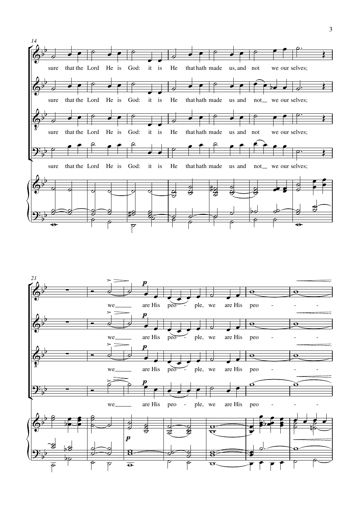

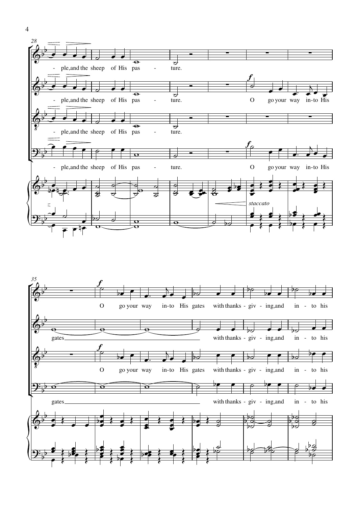

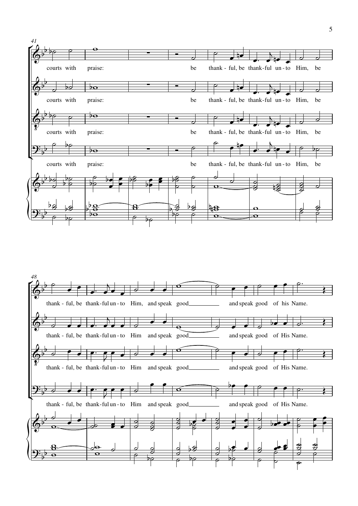

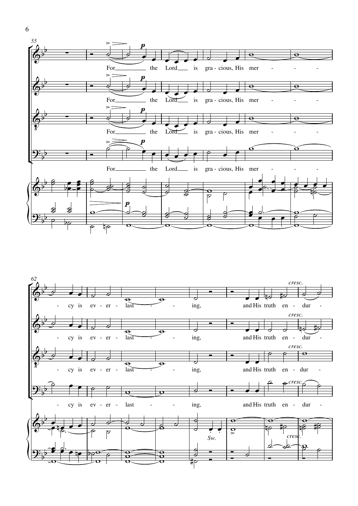

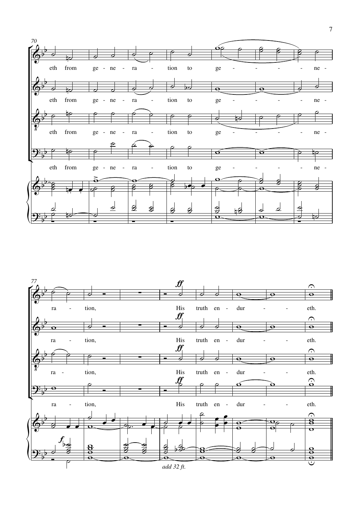

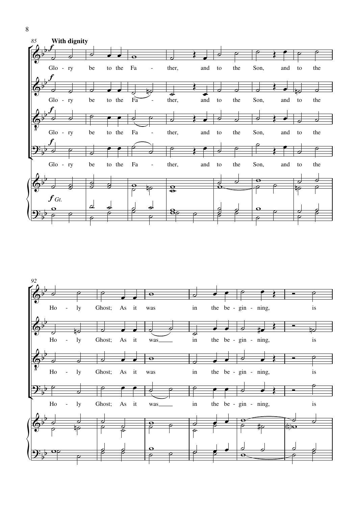

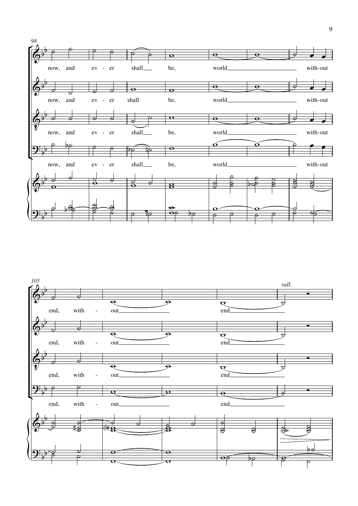